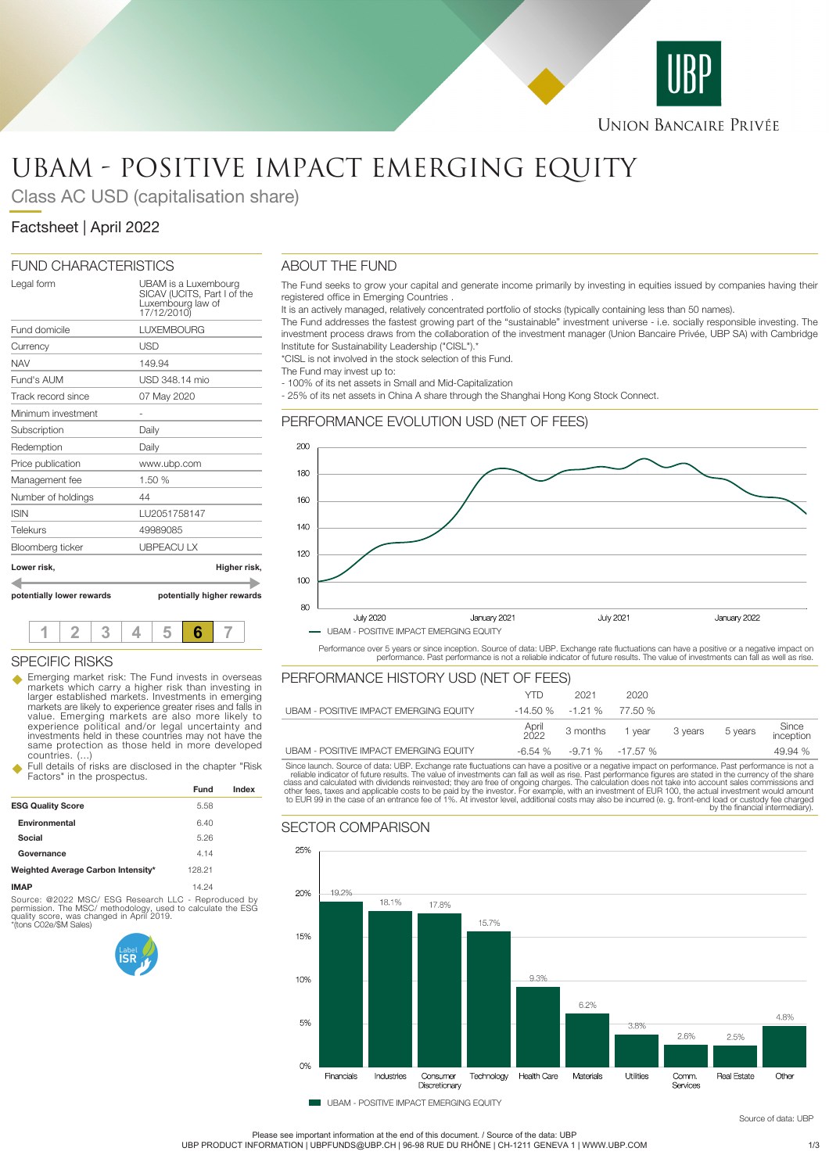

# UBAM - POSITIVE IMPACT EMERGING EQUITY

Class AC USD (capitalisation share)

## Factsheet | April 2022

## FUND CHARACTERISTICS

| potentially lower rewards | potentially higher rewards                                                              |
|---------------------------|-----------------------------------------------------------------------------------------|
| Lower risk,               | Higher risk,                                                                            |
| Bloomberg ticker          | <b>UBPEACULX</b>                                                                        |
| Telekurs                  | 49989085                                                                                |
| <b>ISIN</b>               | LU2051758147                                                                            |
| Number of holdings        | 44                                                                                      |
| Management fee            | 1.50 %                                                                                  |
| Price publication         | www.ubp.com                                                                             |
| Redemption                | Daily                                                                                   |
| Subscription              | Daily                                                                                   |
| Minimum investment        |                                                                                         |
| Track record since        | 07 May 2020                                                                             |
| Fund's AUM                | USD 348 14 mio                                                                          |
| <b>NAV</b>                | 149.94                                                                                  |
| Currency                  | USD                                                                                     |
| Fund domicile             | <b>LUXEMBOURG</b>                                                                       |
| Legal form                | UBAM is a Luxembourg<br>SICAV (UCITS, Part I of the<br>Luxembourg law of<br>17/12/2010) |

**1 2 3 4 5 6 7**

SPECIFIC RISKS

## ABOUT THE FUND

The Fund seeks to grow your capital and generate income primarily by investing in equities issued by companies having their registered office in Emerging Countries .

It is an actively managed, relatively concentrated portfolio of stocks (typically containing less than 50 names).

The Fund addresses the fastest growing part of the "sustainable" investment universe - i.e. socially responsible investing. The investment process draws from the collaboration of the investment manager (Union Bancaire Privée, UBP SA) with Cambridge Institute for Sustainability Leadership ("CISL").

\*CISL is not involved in the stock selection of this Fund.

The Fund may invest up to:

- 100% of its net assets in Small and Mid-Capitalization

- 25% of its net assets in China A share through the Shanghai Hong Kong Stock Connect.

## PERFORMANCE EVOLUTION USD (NET OF FEES)



Performance over 5 years or since inception. Source of data: UBP. Exchange rate fluctuations can have a positive or a negative impact on<br>performance. Past performance is not a reliable indicator of future results. The valu

| Emerging market risk: The Fund invests in overseas<br>markets which carry a higher risk than investing in      | PERFORMANCE HISTORY USD (NET OF FEES)         |               |                              |                         |  |         |                    |
|----------------------------------------------------------------------------------------------------------------|-----------------------------------------------|---------------|------------------------------|-------------------------|--|---------|--------------------|
| larger established markets. Investments in emerging                                                            |                                               | YTD           | 2021                         | 2020                    |  |         |                    |
| markets are likely to experience greater rises and falls in<br>value. Emerging markets are also more likely to | <b>UBAM - POSITIVE IMPACT EMERGING EQUITY</b> |               | $-14.50\%$ $-1.21\%$ 77.50 % |                         |  |         |                    |
| experience political and/or legal uncertainty and<br>investments held in these countries may not have the      |                                               | April<br>2022 |                              | 3 months 1 year 3 years |  | 5 years | Since<br>inception |
| same protection as those held in more developed<br>countries. ()                                               | <b>UBAM - POSITIVE IMPACT EMERGING EQUITY</b> |               | $-6.54\% -9.71\% -17.57\%$   |                         |  |         | 49.94 %            |

countries. (...) Full details of risks are disclosed in the chapter "Risk Factors" in the prospectus.

|                                    | Fund   | Index |
|------------------------------------|--------|-------|
| <b>ESG Quality Score</b>           | 5.58   |       |
| Environmental                      | 6.40   |       |
| Social                             | 5.26   |       |
| Governance                         | 4.14   |       |
| Weighted Average Carbon Intensity* | 128.21 |       |
| <b>IMAP</b>                        | 14.24  |       |

Source: @2022 MSC/ ESG Research LLC - Reproduced by permission. The MSC/ methodology, used to calculate the ESG quality score, was changed in April 2019. \*(tons C02e/\$M Sales)

Since launch. Source of data: UBP. Exchange rate fluctuations can have a positive or a negative impact on performance. Past performance is not a<br>reliable indicator of future results. The value of investments can fall as we

## SECTOR COMPARISON



Please see important information at the end of this document. / Source of the data: UBP UBP PRODUCT INFORMATION | UBPFUNDS@UBP.CH | 96-98 RUE DU RHÔNE | CH-1211 GENEVA 1 | WWW.UBP.COM 1/3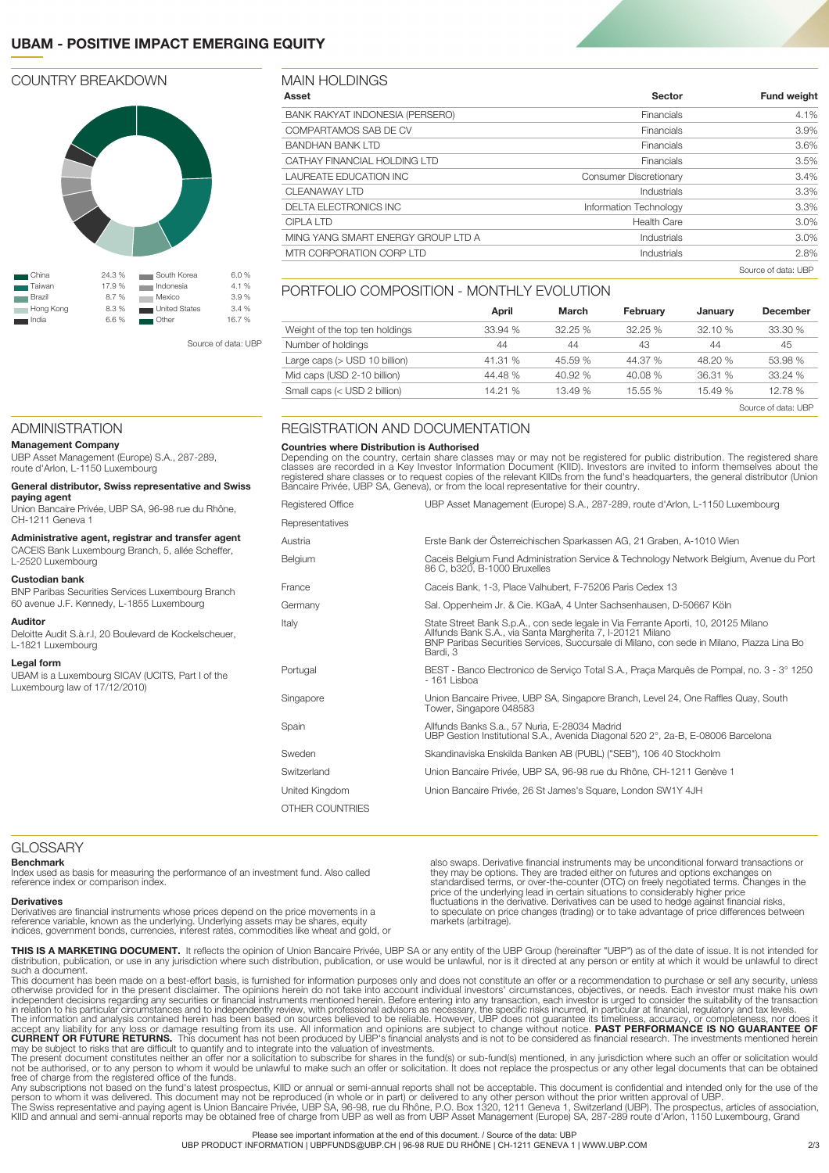## **UBAM - POSITIVE IMPACT EMERGING EQUITY**

#### COUNTRY BREAKDOWN



Source of data: UBP

## **Asset Sector Fund weight** BANK RAKYAT INDONESIA (PERSERO) Financials 4.1% COMPARTAMOS SAB DE CV FINANCIAL SURFACT COMPARTAMOS SAB DE CV FINANCIAL SURFACT COMPARTAMOS SAB BANDHAN BANK LTD 3.6% and 3.6% and 3.6% and 3.6% and 3.6% and 3.6% and 3.6% and 3.6% and 3.6% and 3.6% and 3.6% and 3.6% and 3.6% and 3.6% and 3.6% and 3.6% and 3.6% and 3.6% and 3.6% and 3.6% and 3.6% and 3.6% and 3.6% an CATHAY FINANCIAL HOLDING LTD **Financials** 5.5% **Financials** 5.5% LAUREATE EDUCATION INC Consumer Discretionary 3.4% CLEANAWAY LTD 3.3% and 2.3% and 3.3% and 3.3% and 3.3% and 3.3% and 3.3% and 3.3% and 3.3% and 3.3% and 3.3% and 3.3% and 3.3% and 3.3% and 3.3% and 3.3% and 3.3% and 3.3% and 3.3% and 3.3% and 3.3% and 3.3% and 3.3% and 3 DELTA ELECTRONICS INC **Information Technology** 3.3% CIPLA LTD 3.0% (Separately and the set of the set of the set of the set of the set of the set of the set of th MING YANG SMART ENERGY GROUP LTD A **industrials** and industrials and industrials and  $3.0\%$ MTR CORPORATION CORP LTD **Industrials** 2.8% Source of data: UBP

#### PORTFOLIO COMPOSITION - MONTHLY EVOLUTION

|                                | April   | March   | February | January | <b>December</b>     |
|--------------------------------|---------|---------|----------|---------|---------------------|
| Weight of the top ten holdings | 33.94 % | 32.25%  | 32.25%   | 32.10%  | 33.30%              |
| Number of holdings             | 44      | 44      | 43       | 44      | 45                  |
| Large caps (> USD 10 billion)  | 41.31 % | 45.59 % | 44.37 %  | 48.20 % | 53.98 %             |
| Mid caps (USD 2-10 billion)    | 44.48 % | 40.92%  | 40.08%   | 36.31 % | 33.24 %             |
| Small caps (< USD 2 billion)   | 14.21 % | 13.49 % | 15.55 %  | 15.49 % | 12.78 %             |
|                                |         |         |          |         | Source of data: UBP |

### REGISTRATION AND DOCUMENTATION

#### **Countries where Distribution is Authorised**

MAIN HOLDINGS

Depending on the country, certain share classes may or may not be registered for public distribution. The registered share classes are recorded in a Key Investor Information Document (KIID). Investors are invited to inform themselves about the<br>registered share classes or to request copies of the relevant KIIDs from the fund's headquarters, the

| <b>Reaistered Office</b> | UBP Asset Management (Europe) S.A., 287-289, route d'Arlon, L-1150 Luxembourg                                                                                                                                                                             |
|--------------------------|-----------------------------------------------------------------------------------------------------------------------------------------------------------------------------------------------------------------------------------------------------------|
| Representatives          |                                                                                                                                                                                                                                                           |
| Austria                  | Erste Bank der Osterreichischen Sparkassen AG, 21 Graben, A-1010 Wien                                                                                                                                                                                     |
| Belgium                  | Caceis Belgium Fund Administration Service & Technology Network Belgium, Avenue du Port<br>86 C, b320, B-1000 Bruxelles                                                                                                                                   |
| France                   | Caceis Bank, 1-3, Place Valhubert, F-75206 Paris Cedex 13                                                                                                                                                                                                 |
| Germany                  | Sal. Oppenheim Jr. & Cie. KGaA, 4 Unter Sachsenhausen, D-50667 Köln                                                                                                                                                                                       |
| Italy                    | State Street Bank S.p.A., con sede legale in Via Ferrante Aporti, 10, 20125 Milano<br>Allfunds Bank S.A., via Santa Margherita 7, I-20121 Milano<br>BNP Paribas Securities Services, Succursale di Milano, con sede in Milano, Piazza Lina Bo<br>Bardi, 3 |
| Portugal                 | BEST - Banco Electronico de Servico Total S.A., Praca Marquês de Pompal, no. 3 - 3° 1250<br>$-161$ Lisboa                                                                                                                                                 |
| Singapore                | Union Bancaire Privee, UBP SA, Singapore Branch, Level 24, One Raffles Quay, South<br>Tower, Singapore 048583                                                                                                                                             |
| Spain                    | Allfunds Banks S.a., 57 Nuria, E-28034 Madrid<br>UBP Gestion Institutional S.A., Avenida Diagonal 520 2°, 2a-B, E-08006 Barcelona                                                                                                                         |
| Sweden                   | Skandinaviska Enskilda Banken AB (PUBL) ("SEB"), 106 40 Stockholm                                                                                                                                                                                         |
| Switzerland              | Union Bancaire Privée, UBP SA, 96-98 rue du Rhône, CH-1211 Genève 1                                                                                                                                                                                       |
| United Kingdom           | Union Bancaire Privée, 26 St James's Square, London SW1Y 4JH                                                                                                                                                                                              |
| OTHER COUNTRIES          |                                                                                                                                                                                                                                                           |

#### ADMINISTRATION

#### **Management Company**

UBP Asset Management (Europe) S.A., 287-289, route d'Arlon, L-1150 Luxembourg

#### **General distributor, Swiss representative and Swiss paying agent**

Union Bancaire Privée, UBP SA, 96-98 rue du Rhône, CH-1211 Geneva 1

**Administrative agent, registrar and transfer agent** CACEIS Bank Luxembourg Branch, 5, allée Scheffer, L-2520 Luxembourg

## **Custodian bank**

BNP Paribas Securities Services Luxembourg Branch 60 avenue J.F. Kennedy, L-1855 Luxembourg

#### **Auditor**

Deloitte Audit S.à.r.l, 20 Boulevard de Kockelscheuer, L-1821 Luxembourg

#### **Legal form**

UBAM is a Luxembourg SICAV (UCITS, Part I of the Luxembourg law of 17/12/2010)

## **GLOSSARY**

**Benchmark**

Index used as basis for measuring the performance of an investment fund. Also called reference index or comparison index.

#### **Derivatives**

Derivatives are financial instruments whose prices depend on the price movements in a reference variable, known as the underlying. Underlying assets may be shares, equity indices, government bonds, currencies, interest rates, commodities like wheat and gold, or

also swaps. Derivative financial instruments may be unconditional forward transactions or<br>they may be options. They are traded either on futures and options exchanges on<br>standardised terms, or over-the-counter (OTC) on fre fluctuations in the derivative. Derivatives can be used to hedge against financial risks, to speculate on price changes (trading) or to take advantage of price differences between markets (arbitrage).

THIS IS A MARKETING DOCUMENT. It reflects the opinion of Union Bancaire Privée, UBP SA or any entity of the UBP Group (hereinafter "UBP") as of the date of issue. It is not intended for<br>distribution, publication, or use in

such a document.<br>This document has been made on a best-effort basis, is furnished for information purposes only and does not constitute an offer or a recommendation to purchase or sell any security, unless<br>Otherwise provid

The present document constitutes neither an offer nor a solicitation to subscribe for shares in the fund(s) or sub-fund(s) mentioned, in any jurisdiction where such an offer or solicitation would<br>not be authorised, or to a

person to whom it was delivered. This document may not be reproduced (in whole or in part) or delivered to any other person without the prior written approval of UBP.<br>The Swiss representative and paying agent is Union Banc

#### Please see important information at the end of this document. / Source of the data: UBP

UBP PRODUCT INFORMATION | UBPFUNDS@UBP.CH | 96-98 RUE DU RHÔNE | CH-1211 GENEVA 1 | WWW.UBP.COM 2/3